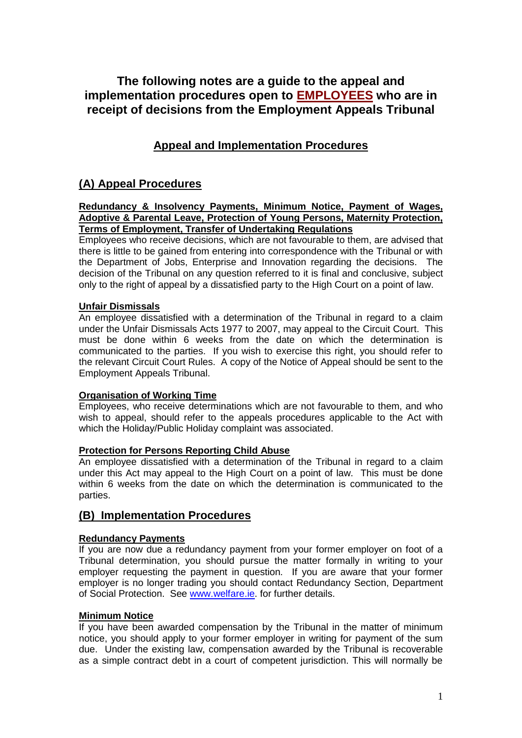# **The following notes are a guide to the appeal and implementation procedures open to EMPLOYEES who are in receipt of decisions from the Employment Appeals Tribunal**

# **Appeal and Implementation Procedures**

# **(A) Appeal Procedures**

#### **Redundancy & Insolvency Payments, Minimum Notice, Payment of Wages, Adoptive & Parental Leave, Protection of Young Persons, Maternity Protection, Terms of Employment, Transfer of Undertaking Regulations**

Employees who receive decisions, which are not favourable to them, are advised that there is little to be gained from entering into correspondence with the Tribunal or with the Department of Jobs, Enterprise and Innovation regarding the decisions. The decision of the Tribunal on any question referred to it is final and conclusive, subject only to the right of appeal by a dissatisfied party to the High Court on a point of law.

# **Unfair Dismissals**

An employee dissatisfied with a determination of the Tribunal in regard to a claim under the Unfair Dismissals Acts 1977 to 2007, may appeal to the Circuit Court. This must be done within 6 weeks from the date on which the determination is communicated to the parties. If you wish to exercise this right, you should refer to the relevant Circuit Court Rules. A copy of the Notice of Appeal should be sent to the Employment Appeals Tribunal.

# **Organisation of Working Time**

Employees, who receive determinations which are not favourable to them, and who wish to appeal, should refer to the appeals procedures applicable to the Act with which the Holiday/Public Holiday complaint was associated.

# **Protection for Persons Reporting Child Abuse**

An employee dissatisfied with a determination of the Tribunal in regard to a claim under this Act may appeal to the High Court on a point of law. This must be done within 6 weeks from the date on which the determination is communicated to the parties.

# **(B) Implementation Procedures**

# **Redundancy Payments**

If you are now due a redundancy payment from your former employer on foot of a Tribunal determination, you should pursue the matter formally in writing to your employer requesting the payment in question. If you are aware that your former employer is no longer trading you should contact Redundancy Section, Department of Social Protection. See [www.welfare.ie.](http://www.welfare.ie/) for further details.

#### **Minimum Notice**

If you have been awarded compensation by the Tribunal in the matter of minimum notice, you should apply to your former employer in writing for payment of the sum due. Under the existing law, compensation awarded by the Tribunal is recoverable as a simple contract debt in a court of competent jurisdiction. This will normally be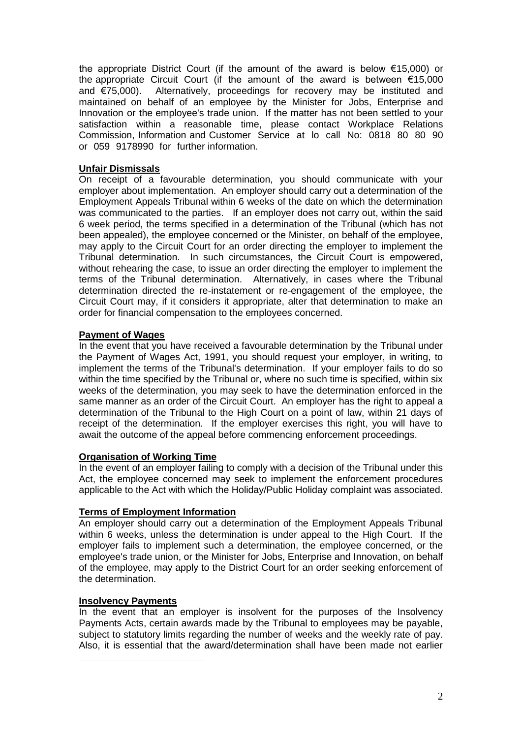the appropriate District Court (if the amount of the award is below €15,000) or the appropriate Circuit Court (if the amount of the award is between €15,000 and €75,000). Alternatively, proceedings for recovery may be instituted and maintained on behalf of an employee by the Minister for Jobs, Enterprise and Innovation or the employee's trade union. If the matter has not been settled to your satisfaction within a reasonable time, please contact Workplace Relations Commission, Information and Customer Service at lo call No: 0818 80 80 90 or 059 9178990 for further information.

# **Unfair Dismissals**

On receipt of a favourable determination, you should communicate with your employer about implementation. An employer should carry out a determination of the Employment Appeals Tribunal within 6 weeks of the date on which the determination was communicated to the parties. If an employer does not carry out, within the said 6 week period, the terms specified in a determination of the Tribunal (which has not been appealed), the employee concerned or the Minister, on behalf of the employee, may apply to the Circuit Court for an order directing the employer to implement the Tribunal determination. In such circumstances, the Circuit Court is empowered, without rehearing the case, to issue an order directing the employer to implement the terms of the Tribunal determination. Alternatively, in cases where the Tribunal determination directed the re-instatement or re-engagement of the employee, the Circuit Court may, if it considers it appropriate, alter that determination to make an order for financial compensation to the employees concerned.

# **Payment of Wages**

In the event that you have received a favourable determination by the Tribunal under the Payment of Wages Act, 1991, you should request your employer, in writing, to implement the terms of the Tribunal's determination. If your employer fails to do so within the time specified by the Tribunal or, where no such time is specified, within six weeks of the determination, you may seek to have the determination enforced in the same manner as an order of the Circuit Court. An employer has the right to appeal a determination of the Tribunal to the High Court on a point of law, within 21 days of receipt of the determination. If the employer exercises this right, you will have to await the outcome of the appeal before commencing enforcement proceedings.

# **Organisation of Working Time**

In the event of an employer failing to comply with a decision of the Tribunal under this Act, the employee concerned may seek to implement the enforcement procedures applicable to the Act with which the Holiday/Public Holiday complaint was associated.

# **Terms of Employment Information**

An employer should carry out a determination of the Employment Appeals Tribunal within 6 weeks, unless the determination is under appeal to the High Court. If the employer fails to implement such a determination, the employee concerned, or the employee's trade union, or the Minister for Jobs, Enterprise and Innovation, on behalf of the employee, may apply to the District Court for an order seeking enforcement of the determination.

# **Insolvency Payments**

In the event that an employer is insolvent for the purposes of the Insolvency Payments Acts, certain awards made by the Tribunal to employees may be payable, subject to statutory limits regarding the number of weeks and the weekly rate of pay. Also, it is essential that the award/determination shall have been made not earlier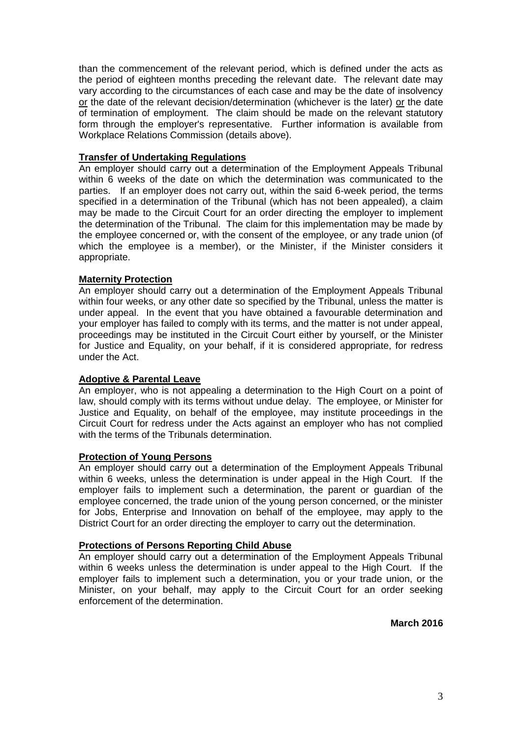than the commencement of the relevant period, which is defined under the acts as the period of eighteen months preceding the relevant date. The relevant date may vary according to the circumstances of each case and may be the date of insolvency or the date of the relevant decision/determination (whichever is the later) or the date of termination of employment. The claim should be made on the relevant statutory form through the employer's representative. Further information is available from Workplace Relations Commission (details above).

# **Transfer of Undertaking Regulations**

An employer should carry out a determination of the Employment Appeals Tribunal within 6 weeks of the date on which the determination was communicated to the parties. If an employer does not carry out, within the said 6-week period, the terms specified in a determination of the Tribunal (which has not been appealed), a claim may be made to the Circuit Court for an order directing the employer to implement the determination of the Tribunal. The claim for this implementation may be made by the employee concerned or, with the consent of the employee, or any trade union (of which the employee is a member), or the Minister, if the Minister considers it appropriate.

# **Maternity Protection**

An employer should carry out a determination of the Employment Appeals Tribunal within four weeks, or any other date so specified by the Tribunal, unless the matter is under appeal. In the event that you have obtained a favourable determination and your employer has failed to comply with its terms, and the matter is not under appeal, proceedings may be instituted in the Circuit Court either by yourself, or the Minister for Justice and Equality, on your behalf, if it is considered appropriate, for redress under the Act.

# **Adoptive & Parental Leave**

An employer, who is not appealing a determination to the High Court on a point of law, should comply with its terms without undue delay. The employee, or Minister for Justice and Equality, on behalf of the employee, may institute proceedings in the Circuit Court for redress under the Acts against an employer who has not complied with the terms of the Tribunals determination.

#### **Protection of Young Persons**

An employer should carry out a determination of the Employment Appeals Tribunal within 6 weeks, unless the determination is under appeal in the High Court. If the employer fails to implement such a determination, the parent or guardian of the employee concerned, the trade union of the young person concerned, or the minister for Jobs, Enterprise and Innovation on behalf of the employee, may apply to the District Court for an order directing the employer to carry out the determination.

#### **Protections of Persons Reporting Child Abuse**

An employer should carry out a determination of the Employment Appeals Tribunal within 6 weeks unless the determination is under appeal to the High Court. If the employer fails to implement such a determination, you or your trade union, or the Minister, on your behalf, may apply to the Circuit Court for an order seeking enforcement of the determination.

**March 2016**